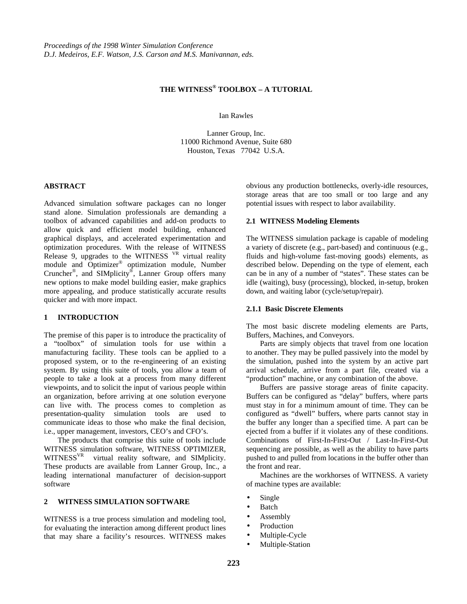## **THE WITNESS® TOOLBOX – A TUTORIAL**

Ian Rawles

Lanner Group, Inc. 11000 Richmond Avenue, Suite 680 Houston, Texas 77042 U.S.A.

#### **ABSTRACT**

Advanced simulation software packages can no longer stand alone. Simulation professionals are demanding a toolbox of advanced capabilities and add-on products to allow quick and efficient model building, enhanced graphical displays, and accelerated experimentation and optimization procedures. With the release of WITNESS Release 9, upgrades to the WITNESS <sup>VR</sup> virtual reality module and Optimizer® optimization module, Number Cruncher®, and SIMplicity®, Lanner Group offers many new options to make model building easier, make graphics more appealing, and produce statistically accurate results quicker and with more impact.

### **1 INTRODUCTION**

The premise of this paper is to introduce the practicality of a "toolbox" of simulation tools for use within a manufacturing facility. These tools can be applied to a proposed system, or to the re-engineering of an existing system. By using this suite of tools, you allow a team of people to take a look at a process from many different viewpoints, and to solicit the input of various people within an organization, before arriving at one solution everyone can live with. The process comes to completion as presentation-quality simulation tools are used to communicate ideas to those who make the final decision, i.e., upper management, investors, CEO's and CFO's.

The products that comprise this suite of tools include WITNESS simulation software, WITNESS OPTIMIZER, WITNESS<sup>VR</sup> virtual reality software, and SIMplicity. These products are available from Lanner Group, Inc., a leading international manufacturer of decision-support software

### **2 WITNESS SIMULATION SOFTWARE**

WITNESS is a true process simulation and modeling tool, for evaluating the interaction among different product lines that may share a facility's resources. WITNESS makes obvious any production bottlenecks, overly-idle resources, storage areas that are too small or too large and any potential issues with respect to labor availability.

#### **2.1 WITNESS Modeling Elements**

The WITNESS simulation package is capable of modeling a variety of discrete (e.g., part-based) and continuous (e.g., fluids and high-volume fast-moving goods) elements, as described below. Depending on the type of element, each can be in any of a number of "states". These states can be idle (waiting), busy (processing), blocked, in-setup, broken down, and waiting labor (cycle/setup/repair).

### **2.1.1 Basic Discrete Elements**

The most basic discrete modeling elements are Parts, Buffers, Machines, and Conveyors.

Parts are simply objects that travel from one location to another. They may be pulled passively into the model by the simulation, pushed into the system by an active part arrival schedule, arrive from a part file, created via a "production" machine, or any combination of the above.

Buffers are passive storage areas of finite capacity. Buffers can be configured as "delay" buffers, where parts must stay in for a minimum amount of time. They can be configured as "dwell" buffers, where parts cannot stay in the buffer any longer than a specified time. A part can be ejected from a buffer if it violates any of these conditions. Combinations of First-In-First-Out / Last-In-First-Out sequencing are possible, as well as the ability to have parts pushed to and pulled from locations in the buffer other than the front and rear.

Machines are the workhorses of WITNESS. A variety of machine types are available:

- **Single**
- **Batch**
- **Assembly**
- **Production**
- Multiple-Cycle
- Multiple-Station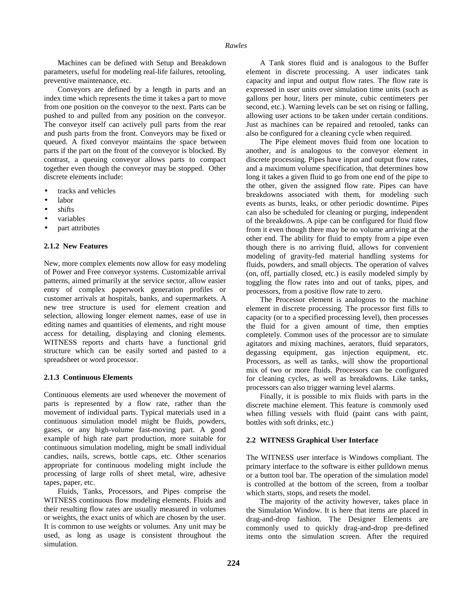Machines can be defined with Setup and Breakdown parameters, useful for modeling real-life failures, retooling, preventive maintenance, etc.

Conveyors are defined by a length in parts and an index time which represents the time it takes a part to move from one position on the conveyor to the next. Parts can be pushed to and pulled from any position on the conveyor. The conveyor itself can actively pull parts from the rear and push parts from the front. Conveyors may be fixed or queued. A fixed conveyor maintains the space between parts if the part on the front of the conveyor is blocked. By contrast, a queuing conveyor allows parts to compact together even though the conveyor may be stopped. Other discrete elements include:

- tracks and vehicles
- labor
- shifts
- variables
- part attributes

### **2.1.2 New Features**

New, more complex elements now allow for easy modeling of Power and Free conveyor systems. Customizable arrival patterns, aimed primarily at the service sector, allow easier entry of complex paperwork generation profiles or customer arrivals at hospitals, banks, and supermarkets. A new tree structure is used for element creation and selection, allowing longer element names, ease of use in editing names and quantities of elements, and right mouse access for detailing, displaying and cloning elements. WITNESS reports and charts have a functional grid structure which can be easily sorted and pasted to a spreadsheet or word processor.

### **2.1.3 Continuous Elements**

Continuous elements are used whenever the movement of parts is represented by a flow rate, rather than the movement of individual parts. Typical materials used in a continuous simulation model might be fluids, powders, gases, or any high-volume fast-moving part. A good example of high rate part production, more suitable for continuous simulation modeling, might be small individual candies, nails, screws, bottle caps, etc. Other scenarios appropriate for continuous modeling might include the processing of large rolls of sheet metal, wire, adhesive tapes, paper, etc.

Fluids, Tanks, Processors, and Pipes comprise the WITNESS continuous flow modeling elements. Fluids and their resulting flow rates are usually measured in volumes or weights, the exact units of which are chosen by the user. It is common to use weights or volumes. Any unit may be used, as long as usage is consistent throughout the simulation.

A Tank stores fluid and is analogous to the Buffer element in discrete processing. A user indicates tank capacity and input and output flow rates. The flow rate is expressed in user units over simulation time units (such as gallons per hour, liters per minute, cubic centimeters per second, etc.). Warning levels can be set on rising or falling, allowing user actions to be taken under certain conditions. Just as machines can be repaired and retooled, tanks can also be configured for a cleaning cycle when required.

The Pipe element moves fluid from one location to another, and is analogous to the conveyor element in discrete processing. Pipes have input and output flow rates, and a maximum volume specification, that determines how long it takes a given fluid to go from one end of the pipe to the other, given the assigned flow rate. Pipes can have breakdowns associated with them, for modeling such events as bursts, leaks, or other periodic downtime. Pipes can also be scheduled for cleaning or purging, independent of the breakdowns. A pipe can be configured for fluid flow from it even though there may be no volume arriving at the other end. The ability for fluid to empty from a pipe even though there is no arriving fluid, allows for convenient modeling of gravity-fed material handling systems for fluids, powders, and small objects. The operation of valves (on, off, partially closed, etc.) is easily modeled simply by toggling the flow rates into and out of tanks, pipes, and processors, from a positive flow rate to zero.

The Processor element is analogous to the machine element in discrete processing. The processor first fills to capacity (or to a specified processing level), then processes the fluid for a given amount of time, then empties completely. Common uses of the processor are to simulate agitators and mixing machines, aerators, fluid separators, degassing equipment, gas injection equipment, etc. Processors, as well as tanks, will show the proportional mix of two or more fluids. Processors can be configured for cleaning cycles, as well as breakdowns. Like tanks, processors can also trigger warning level alarms.

Finally, it is possible to mix fluids with parts in the discrete machine element. This feature is commonly used when filling vessels with fluid (paint cans with paint, bottles with soft drinks, etc.)

### **2.2 WITNESS Graphical User Interface**

The WITNESS user interface is Windows compliant. The primary interface to the software is either pulldown menus or a button tool bar. The operation of the simulation model is controlled at the bottom of the screen, from a toolbar which starts, stops, and resets the model.

The majority of the activity however, takes place in the Simulation Window. It is here that items are placed in drag-and-drop fashion. The Designer Elements are commonly used to quickly drag-and-drop pre-defined items onto the simulation screen. After the required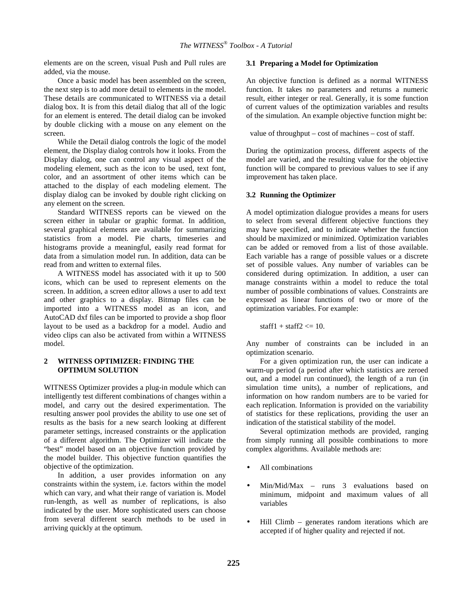elements are on the screen, visual Push and Pull rules are added, via the mouse.

Once a basic model has been assembled on the screen, the next step is to add more detail to elements in the model. These details are communicated to WITNESS via a detail dialog box. It is from this detail dialog that all of the logic for an element is entered. The detail dialog can be invoked by double clicking with a mouse on any element on the screen.

While the Detail dialog controls the logic of the model element, the Display dialog controls how it looks. From the Display dialog, one can control any visual aspect of the modeling element, such as the icon to be used, text font, color, and an assortment of other items which can be attached to the display of each modeling element. The display dialog can be invoked by double right clicking on any element on the screen.

Standard WITNESS reports can be viewed on the screen either in tabular or graphic format. In addition, several graphical elements are available for summarizing statistics from a model. Pie charts, timeseries and histograms provide a meaningful, easily read format for data from a simulation model run. In addition, data can be read from and written to external files.

A WITNESS model has associated with it up to 500 icons, which can be used to represent elements on the screen. In addition, a screen editor allows a user to add text and other graphics to a display. Bitmap files can be imported into a WITNESS model as an icon, and AutoCAD dxf files can be imported to provide a shop floor layout to be used as a backdrop for a model. Audio and video clips can also be activated from within a WITNESS model.

## **2 WITNESS OPTIMIZER: FINDING THE OPTIMUM SOLUTION**

WITNESS Optimizer provides a plug-in module which can intelligently test different combinations of changes within a model, and carry out the desired experimentation. The resulting answer pool provides the ability to use one set of results as the basis for a new search looking at different parameter settings, increased constraints or the application of a different algorithm. The Optimizer will indicate the "best" model based on an objective function provided by the model builder. This objective function quantifies the objective of the optimization.

In addition, a user provides information on any constraints within the system, i.e. factors within the model which can vary, and what their range of variation is. Model run-length, as well as number of replications, is also indicated by the user. More sophisticated users can choose from several different search methods to be used in arriving quickly at the optimum.

## **3.1 Preparing a Model for Optimization**

An objective function is defined as a normal WITNESS function. It takes no parameters and returns a numeric result, either integer or real. Generally, it is some function of current values of the optimization variables and results of the simulation. An example objective function might be:

value of throughput – cost of machines – cost of staff.

During the optimization process, different aspects of the model are varied, and the resulting value for the objective function will be compared to previous values to see if any improvement has taken place.

## **3.2 Running the Optimizer**

A model optimization dialogue provides a means for users to select from several different objective functions they may have specified, and to indicate whether the function should be maximized or minimized. Optimization variables can be added or removed from a list of those available. Each variable has a range of possible values or a discrete set of possible values. Any number of variables can be considered during optimization. In addition, a user can manage constraints within a model to reduce the total number of possible combinations of values. Constraints are expressed as linear functions of two or more of the optimization variables. For example:

staff1 + staff2  $\leq$  10.

Any number of constraints can be included in an optimization scenario.

For a given optimization run, the user can indicate a warm-up period (a period after which statistics are zeroed out, and a model run continued), the length of a run (in simulation time units), a number of replications, and information on how random numbers are to be varied for each replication. Information is provided on the variability of statistics for these replications, providing the user an indication of the statistical stability of the model.

Several optimization methods are provided, ranging from simply running all possible combinations to more complex algorithms. Available methods are:

- All combinations
- Min/Mid/Max runs 3 evaluations based on minimum, midpoint and maximum values of all variables
- Hill Climb generates random iterations which are accepted if of higher quality and rejected if not.